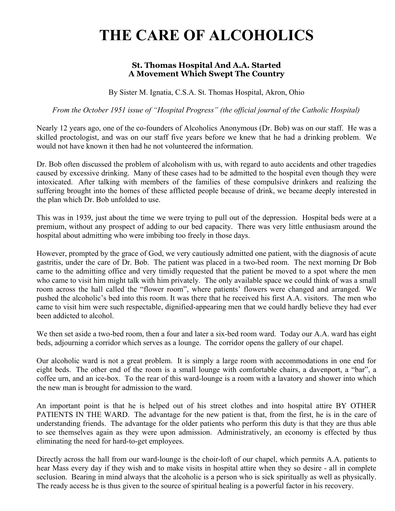# **THE CARE OF ALCOHOLICS**

#### **St. Thomas Hospital And A.A. Started A Movement Which Swept The Country**

By Sister M. Ignatia, C.S.A. St. Thomas Hospital, Akron, Ohio

*From the October 1951 issue of "Hospital Progress" (the official journal of the Catholic Hospital)*

Nearly 12 years ago, one of the co-founders of Alcoholics Anonymous (Dr. Bob) was on our staff. He was a skilled proctologist, and was on our staff five years before we knew that he had a drinking problem. We would not have known it then had he not volunteered the information.

Dr. Bob often discussed the problem of alcoholism with us, with regard to auto accidents and other tragedies caused by excessive drinking. Many of these cases had to be admitted to the hospital even though they were intoxicated. After talking with members of the families of these compulsive drinkers and realizing the suffering brought into the homes of these afflicted people because of drink, we became deeply interested in the plan which Dr. Bob unfolded to use.

This was in 1939, just about the time we were trying to pull out of the depression. Hospital beds were at a premium, without any prospect of adding to our bed capacity. There was very little enthusiasm around the hospital about admitting who were imbibing too freely in those days.

However, prompted by the grace of God, we very cautiously admitted one patient, with the diagnosis of acute gastritis, under the care of Dr. Bob. The patient was placed in a two-bed room. The next morning Dr Bob came to the admitting office and very timidly requested that the patient be moved to a spot where the men who came to visit him might talk with him privately. The only available space we could think of was a small room across the hall called the "flower room", where patients' flowers were changed and arranged. We pushed the alcoholic's bed into this room. It was there that he received his first A.A. visitors. The men who came to visit him were such respectable, dignified-appearing men that we could hardly believe they had ever been addicted to alcohol.

We then set aside a two-bed room, then a four and later a six-bed room ward. Today our A.A. ward has eight beds, adjourning a corridor which serves as a lounge. The corridor opens the gallery of our chapel.

Our alcoholic ward is not a great problem. It is simply a large room with accommodations in one end for eight beds. The other end of the room is a small lounge with comfortable chairs, a davenport, a "bar", a coffee urn, and an ice-box. To the rear of this ward-lounge is a room with a lavatory and shower into which the new man is brought for admission to the ward.

An important point is that he is helped out of his street clothes and into hospital attire BY OTHER PATIENTS IN THE WARD. The advantage for the new patient is that, from the first, he is in the care of understanding friends. The advantage for the older patients who perform this duty is that they are thus able to see themselves again as they were upon admission. Administratively, an economy is effected by thus eliminating the need for hard-to-get employees.

Directly across the hall from our ward-lounge is the choir-loft of our chapel, which permits A.A. patients to hear Mass every day if they wish and to make visits in hospital attire when they so desire - all in complete seclusion. Bearing in mind always that the alcoholic is a person who is sick spiritually as well as physically. The ready access he is thus given to the source of spiritual healing is a powerful factor in his recovery.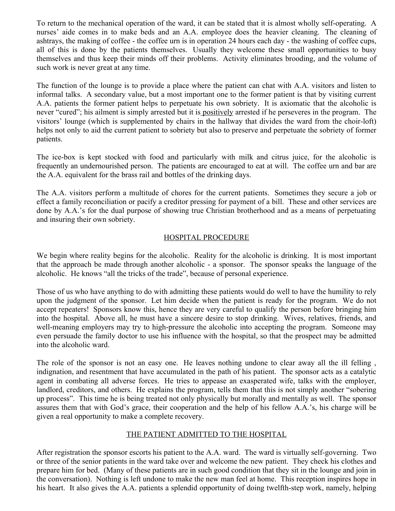To return to the mechanical operation of the ward, it can be stated that it is almost wholly self-operating. A nurses' aide comes in to make beds and an A.A. employee does the heavier cleaning. The cleaning of ashtrays, the making of coffee - the coffee urn is in operation 24 hours each day - the washing of coffee cups, all of this is done by the patients themselves. Usually they welcome these small opportunities to busy themselves and thus keep their minds off their problems. Activity eliminates brooding, and the volume of such work is never great at any time.

The function of the lounge is to provide a place where the patient can chat with A.A. visitors and listen to informal talks. A secondary value, but a most important one to the former patient is that by visiting current A.A. patients the former patient helps to perpetuate his own sobriety. It is axiomatic that the alcoholic is never "cured"; his ailment is simply arrested but it is positively arrested if he perseveres in the program. The visitors' lounge (which is supplemented by chairs in the hallway that divides the ward from the choir-loft) helps not only to aid the current patient to sobriety but also to preserve and perpetuate the sobriety of former patients.

The ice-box is kept stocked with food and particularly with milk and citrus juice, for the alcoholic is frequently an undernourished person. The patients are encouraged to eat at will. The coffee urn and bar are the A.A. equivalent for the brass rail and bottles of the drinking days.

The A.A. visitors perform a multitude of chores for the current patients. Sometimes they secure a job or effect a family reconciliation or pacify a creditor pressing for payment of a bill. These and other services are done by A.A.'s for the dual purpose of showing true Christian brotherhood and as a means of perpetuating and insuring their own sobriety.

#### HOSPITAL PROCEDURE

We begin where reality begins for the alcoholic. Reality for the alcoholic is drinking. It is most important that the approach be made through another alcoholic - a sponsor. The sponsor speaks the language of the alcoholic. He knows "all the tricks of the trade", because of personal experience.

Those of us who have anything to do with admitting these patients would do well to have the humility to rely upon the judgment of the sponsor. Let him decide when the patient is ready for the program. We do not accept repeaters! Sponsors know this, hence they are very careful to qualify the person before bringing him into the hospital. Above all, he must have a sincere desire to stop drinking. Wives, relatives, friends, and well-meaning employers may try to high-pressure the alcoholic into accepting the program. Someone may even persuade the family doctor to use his influence with the hospital, so that the prospect may be admitted into the alcoholic ward.

The role of the sponsor is not an easy one. He leaves nothing undone to clear away all the ill felling , indignation, and resentment that have accumulated in the path of his patient. The sponsor acts as a catalytic agent in combating all adverse forces. He tries to appease an exasperated wife, talks with the employer, landlord, creditors, and others. He explains the program, tells them that this is not simply another "sobering up process". This time he is being treated not only physically but morally and mentally as well. The sponsor assures them that with God's grace, their cooperation and the help of his fellow A.A.'s, his charge will be given a real opportunity to make a complete recovery.

## THE PATIENT ADMITTED TO THE HOSPITAL

After registration the sponsor escorts his patient to the A.A. ward. The ward is virtually self-governing. Two or three of the senior patients in the ward take over and welcome the new patient. They check his clothes and prepare him for bed. (Many of these patients are in such good condition that they sit in the lounge and join in the conversation). Nothing is left undone to make the new man feel at home. This reception inspires hope in his heart. It also gives the A.A. patients a splendid opportunity of doing twelfth-step work, namely, helping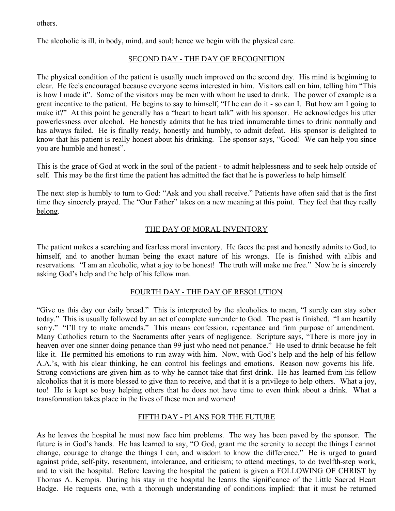others.

The alcoholic is ill, in body, mind, and soul; hence we begin with the physical care.

# SECOND DAY - THE DAY OF RECOGNITION

The physical condition of the patient is usually much improved on the second day. His mind is beginning to clear. He feels encouraged because everyone seems interested in him. Visitors call on him, telling him "This is how I made it". Some of the visitors may be men with whom he used to drink. The power of example is a great incentive to the patient. He begins to say to himself, "If he can do it - so can I. But how am I going to make it?" At this point he generally has a "heart to heart talk" with his sponsor. He acknowledges his utter powerlessness over alcohol. He honestly admits that he has tried innumerable times to drink normally and has always failed. He is finally ready, honestly and humbly, to admit defeat. His sponsor is delighted to know that his patient is really honest about his drinking. The sponsor says, "Good! We can help you since you are humble and honest".

This is the grace of God at work in the soul of the patient - to admit helplessness and to seek help outside of self. This may be the first time the patient has admitted the fact that he is powerless to help himself.

The next step is humbly to turn to God: "Ask and you shall receive." Patients have often said that is the first time they sincerely prayed. The "Our Father" takes on a new meaning at this point. They feel that they really belong.

## THE DAY OF MORAL INVENTORY

The patient makes a searching and fearless moral inventory. He faces the past and honestly admits to God, to himself, and to another human being the exact nature of his wrongs. He is finished with alibis and reservations. "I am an alcoholic, what a joy to be honest! The truth will make me free." Now he is sincerely asking God's help and the help of his fellow man.

## FOURTH DAY - THE DAY OF RESOLUTION

"Give us this day our daily bread." This is interpreted by the alcoholics to mean, "I surely can stay sober today." This is usually followed by an act of complete surrender to God. The past is finished. "I am heartily sorry." "I'll try to make amends." This means confession, repentance and firm purpose of amendment. Many Catholics return to the Sacraments after years of negligence. Scripture says, "There is more joy in heaven over one sinner doing penance than 99 just who need not penance." He used to drink because he felt like it. He permitted his emotions to run away with him. Now, with God's help and the help of his fellow A.A.'s, with his clear thinking, he can control his feelings and emotions. Reason now governs his life. Strong convictions are given him as to why he cannot take that first drink. He has learned from his fellow alcoholics that it is more blessed to give than to receive, and that it is a privilege to help others. What a joy, too! He is kept so busy helping others that he does not have time to even think about a drink. What a transformation takes place in the lives of these men and women!

## FIFTH DAY - PLANS FOR THE FUTURE

As he leaves the hospital he must now face him problems. The way has been paved by the sponsor. The future is in God's hands. He has learned to say, "O God, grant me the serenity to accept the things I cannot change, courage to change the things I can, and wisdom to know the difference." He is urged to guard against pride, self-pity, resentment, intolerance, and criticism; to attend meetings, to do twelfth-step work, and to visit the hospital. Before leaving the hospital the patient is given a FOLLOWING OF CHRIST by Thomas A. Kempis. During his stay in the hospital he learns the significance of the Little Sacred Heart Badge. He requests one, with a thorough understanding of conditions implied: that it must be returned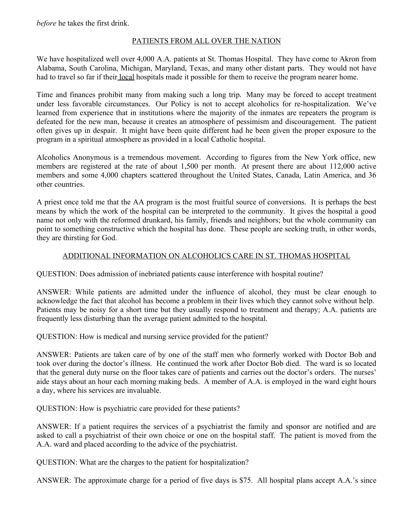*before* he takes the first drink.

## PATIENTS FROM ALL OVER THE NATION

We have hospitalized well over 4,000 A.A. patients at St. Thomas Hospital. They have come to Akron from Alabama, South Carolina, Michigan, Maryland, Texas, and many other distant parts. They would not have had to travel so far if their local hospitals made it possible for them to receive the program nearer home.

Time and finances prohibit many from making such a long trip. Many may be forced to accept treatment under less favorable circumstances. Our Policy is not to accept alcoholics for re-hospitalization. We've learned from experience that in institutions where the majority of the inmates are repeaters the program is defeated for the new man, because it creates an atmosphere of pessimism and discouragement. The patient often gives up in despair. It might have been quite different had he been given the proper exposure to the program in a spiritual atmosphere as provided in a local Catholic hospital.

Alcoholics Anonymous is a tremendous movement. According to figures from the New York office, new members are registered at the rate of about 1,500 per month. At present there are about 112,000 active members and some 4,000 chapters scattered throughout the United States, Canada, Latin America, and 36 other countries.

A priest once told me that the AA program is the most fruitful source of conversions. It is perhaps the best means by which the work of the hospital can be interpreted to the community. It gives the hospital a good name not only with the reformed drunkard, his family, friends and neighbors; but the whole community can point to something constructive which the hospital has done. These people are seeking truth, in other words, they are thirsting for God.

## ADDITIONAL INFORMATION ON ALCOHOLICS CARE IN ST. THOMAS HOSPITAL

QUESTION: Does admission of inebriated patients cause interference with hospital routine?

ANSWER: While patients are admitted under the influence of alcohol, they must be clear enough to acknowledge the fact that alcohol has become a problem in their lives which they cannot solve without help. Patients may be noisy for a short time but they usually respond to treatment and therapy; A.A. patients are frequently less disturbing than the average patient admitted to the hospital.

QUESTION: How is medical and nursing service provided for the patient?

ANSWER: Patients are taken care of by one of the staff men who formerly worked with Doctor Bob and took over during the doctor's illness. He continued the work after Doctor Bob died. The ward is so located that the general duty nurse on the floor takes care of patients and carries out the doctor's orders. The nurses' aide stays about an hour each morning making beds. A member of A.A. is employed in the ward eight hours a day, where his services are invaluable.

QUESTION: How is psychiatric care provided for these patients?

ANSWER: If a patient requires the services of a psychiatrist the family and sponsor are notified and are asked to call a psychiatrist of their own choice or one on the hospital staff. The patient is moved from the A.A. ward and placed according to the advice of the psychiatrist.

QUESTION: What are the charges to the patient for hospitalization?

ANSWER: The approximate charge for a period of five days is \$75. All hospital plans accept A.A.'s since